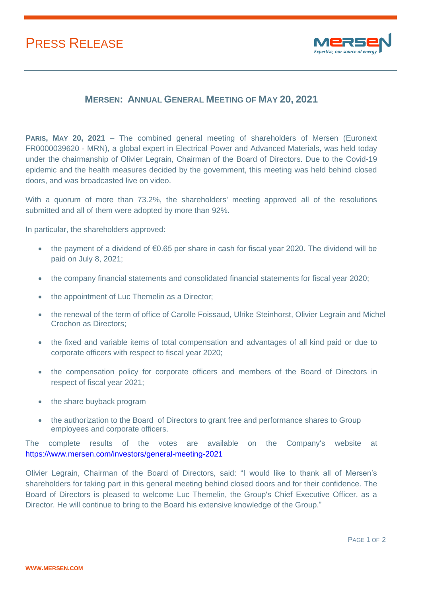## PRESS RELEASE



## **MERSEN: ANNUAL GENERAL MEETING OF MAY 20, 2021**

**PARIS, MAY 20, 2021** – The combined general meeting of shareholders of Mersen (Euronext FR0000039620 - MRN), a global expert in Electrical Power and Advanced Materials, was held today under the chairmanship of Olivier Legrain, Chairman of the Board of Directors. Due to the Covid-19 epidemic and the health measures decided by the government, this meeting was held behind closed doors, and was broadcasted live on video.

With a quorum of more than 73.2%, the shareholders' meeting approved all of the resolutions submitted and all of them were adopted by more than 92%.

In particular, the shareholders approved:

- the payment of a dividend of €0.65 per share in cash for fiscal year 2020. The dividend will be paid on July 8, 2021;
- the company financial statements and consolidated financial statements for fiscal year 2020;
- the appointment of Luc Themelin as a Director;
- the renewal of the term of office of Carolle Foissaud, Ulrike Steinhorst, Olivier Legrain and Michel Crochon as Directors;
- the fixed and variable items of total compensation and advantages of all kind paid or due to corporate officers with respect to fiscal year 2020;
- the compensation policy for corporate officers and members of the Board of Directors in respect of fiscal year 2021;
- the share buyback program
- the authorization to the Board of Directors to grant free and performance shares to Group employees and corporate officers.

The complete results of the votes are available on the Company's website at <https://www.mersen.com/investors/general-meeting-2021>

Olivier Legrain, Chairman of the Board of Directors, said: "I would like to thank all of Mersen's shareholders for taking part in this general meeting behind closed doors and for their confidence. The Board of Directors is pleased to welcome Luc Themelin, the Group's Chief Executive Officer, as a Director. He will continue to bring to the Board his extensive knowledge of the Group."